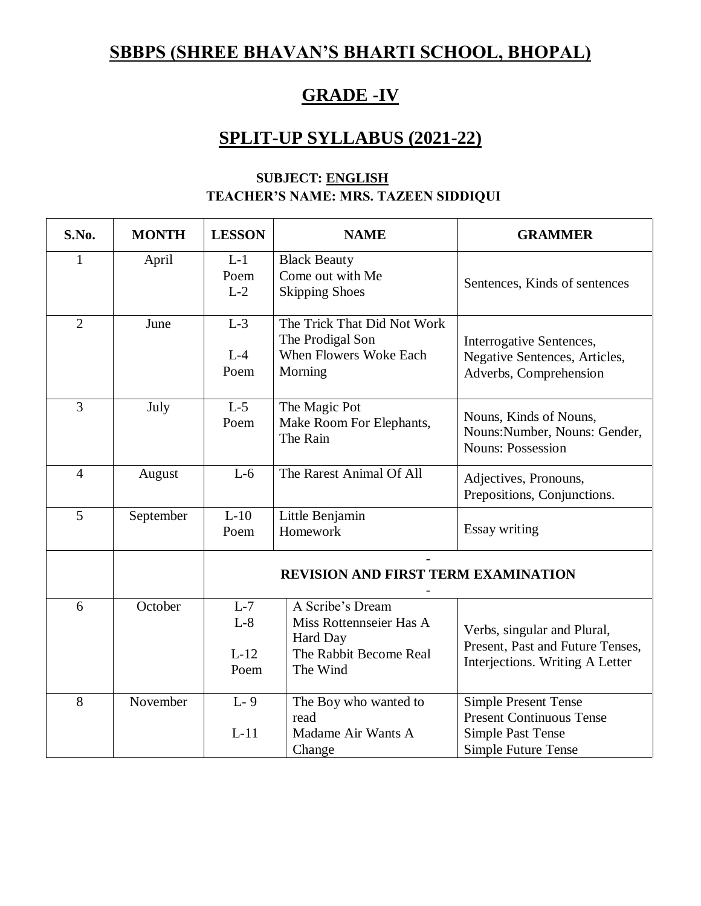# **SBBPS (SHREE BHAVAN'S BHARTI SCHOOL, BHOPAL)**

## **GRADE -IV**

## **SPLIT-UP SYLLABUS (2021-22)**

| S.No.          | <b>MONTH</b> | <b>LESSON</b>                    | <b>NAME</b>                                                                                   | <b>GRAMMER</b>                                                                                                    |
|----------------|--------------|----------------------------------|-----------------------------------------------------------------------------------------------|-------------------------------------------------------------------------------------------------------------------|
| $\mathbf{1}$   | April        | $L-1$<br>Poem<br>$L-2$           | <b>Black Beauty</b><br>Come out with Me<br><b>Skipping Shoes</b>                              | Sentences, Kinds of sentences                                                                                     |
| $\overline{2}$ | June         | $L-3$<br>$L-4$<br>Poem           | The Trick That Did Not Work<br>The Prodigal Son<br>When Flowers Woke Each<br>Morning          | Interrogative Sentences,<br>Negative Sentences, Articles,<br>Adverbs, Comprehension                               |
| $\overline{3}$ | July         | $L-5$<br>Poem                    | The Magic Pot<br>Make Room For Elephants,<br>The Rain                                         | Nouns, Kinds of Nouns,<br>Nouns: Number, Nouns: Gender,<br><b>Nouns: Possession</b>                               |
| $\overline{4}$ | August       | $L-6$                            | The Rarest Animal Of All                                                                      | Adjectives, Pronouns,<br>Prepositions, Conjunctions.                                                              |
| 5              | September    | $L-10$<br>Poem                   | Little Benjamin<br>Homework                                                                   | Essay writing                                                                                                     |
|                |              |                                  | <b>REVISION AND FIRST TERM EXAMINATION</b>                                                    |                                                                                                                   |
| 6              | October      | $L-7$<br>$L-8$<br>$L-12$<br>Poem | A Scribe's Dream<br>Miss Rottennseier Has A<br>Hard Day<br>The Rabbit Become Real<br>The Wind | Verbs, singular and Plural,<br>Present, Past and Future Tenses,<br>Interjections. Writing A Letter                |
| 8              | November     | $L-9$<br>$L-11$                  | The Boy who wanted to<br>read<br>Madame Air Wants A<br>Change                                 | <b>Simple Present Tense</b><br><b>Present Continuous Tense</b><br><b>Simple Past Tense</b><br>Simple Future Tense |

#### **SUBJECT: ENGLISH TEACHER'S NAME: MRS. TAZEEN SIDDIQUI**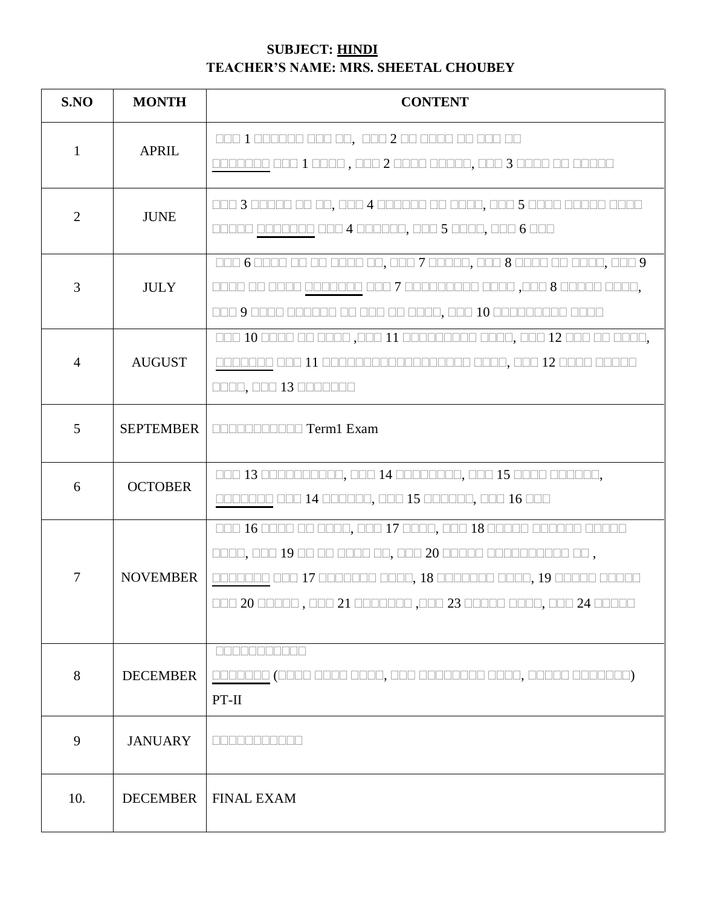#### **SUBJECT: HINDI TEACHER'S NAME: MRS. SHEETAL CHOUBEY**

| S.NO           | <b>MONTH</b>     | <b>CONTENT</b>                                                                                                                                                                                                                                          |
|----------------|------------------|---------------------------------------------------------------------------------------------------------------------------------------------------------------------------------------------------------------------------------------------------------|
| $\mathbf{1}$   | <b>APRIL</b>     | 000 1 000000 000 00, 000 2 00 0000 00 000 00<br>0000000 000 1 0000 , 000 2 0000 00000, 000 3 0000 00 00000                                                                                                                                              |
| $\overline{2}$ | <b>JUNE</b>      | 00000 0000000 000 4 000000, 000 5 0000, 000 6 000                                                                                                                                                                                                       |
| 3              | <b>JULY</b>      | 000 6 0000 00 00 0000 00, 000 7 00000, 000 8 0000 00 0000, 000 9<br>0000 00 0000 0000000 000 7 000000000 0000 ,000 8 00000 0000,                                                                                                                        |
| $\overline{4}$ | <b>AUGUST</b>    | 000 10 0000 00 0000 ,000 11 000000000 0000, 000 12 000 00 0000,<br>0000, 000 13 0000000                                                                                                                                                                 |
| $\overline{5}$ | <b>SEPTEMBER</b> | <b>DOODDOODDO Term1 Exam</b>                                                                                                                                                                                                                            |
| 6              | <b>OCTOBER</b>   | 000 13 0000000000, 000 14 00000000, 000 15 0000 000000,<br>0000000 000 14 000000, 000 15 000000, 000 16 000                                                                                                                                             |
| 7              | <b>NOVEMBER</b>  | 000 16 0000 00 0000, 000 17 0000, 000 18 00000 000000 00000<br>0000, 000 19 00 00 0000 00, 000 20 00000 000000000 00,<br>0000000 000 17 0000000 0000, 18 0000000 0000, 19 00000 00000<br>DOO 20 00000 , 000 21 0000000 ,000 23 00000 0000, 000 24 00000 |
| 8              | <b>DECEMBER</b>  | 88888888888<br>$PT-II$                                                                                                                                                                                                                                  |
| 9              | <b>JANUARY</b>   | <b>REBERHERE</b>                                                                                                                                                                                                                                        |
| 10.            | <b>DECEMBER</b>  | <b>FINAL EXAM</b>                                                                                                                                                                                                                                       |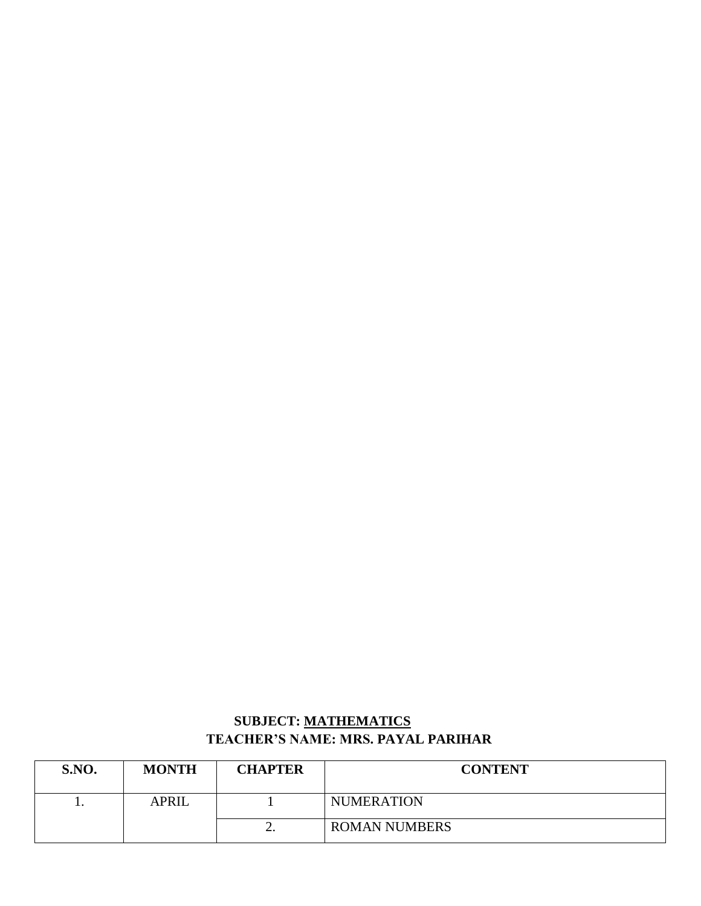#### **SUBJECT: MATHEMATICS TEACHER'S NAME: MRS. PAYAL PARIHAR**

| <b>S.NO.</b> | <b>MONTH</b> | <b>CHAPTER</b> | <b>CONTENT</b>       |
|--------------|--------------|----------------|----------------------|
|              | <b>APRIL</b> |                | <b>NUMERATION</b>    |
|              |              | ∼.             | <b>ROMAN NUMBERS</b> |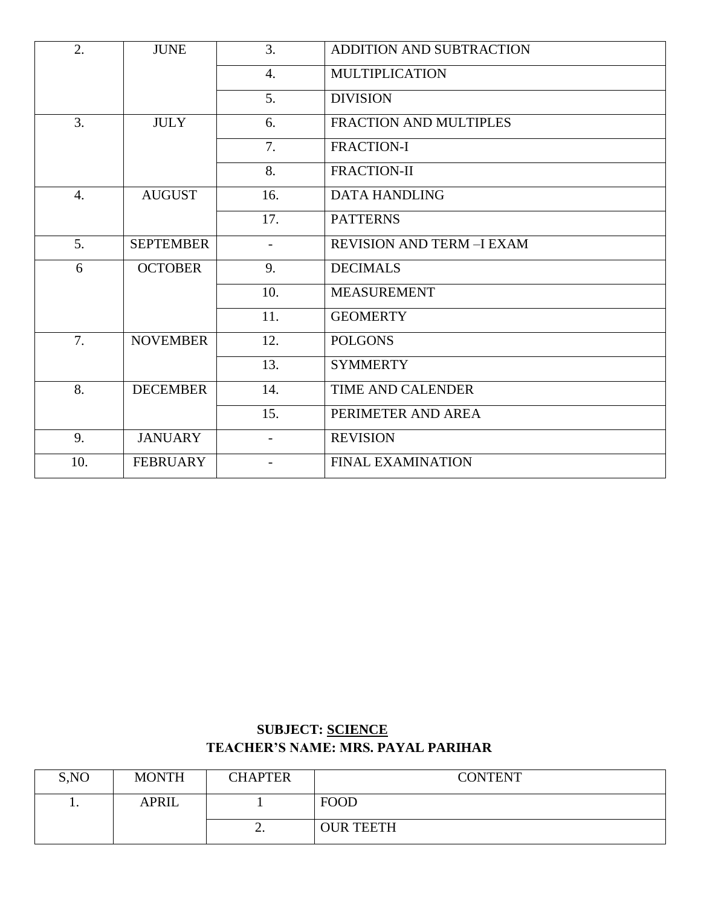| 2.               | <b>JUNE</b>      | 3.                       | ADDITION AND SUBTRACTION          |
|------------------|------------------|--------------------------|-----------------------------------|
|                  |                  | $\overline{4}$ .         | <b>MULTIPLICATION</b>             |
|                  |                  | 5.                       | <b>DIVISION</b>                   |
| $\overline{3}$ . | <b>JULY</b>      | 6.                       | FRACTION AND MULTIPLES            |
|                  |                  | 7.                       | <b>FRACTION-I</b>                 |
|                  |                  | 8.                       | FRACTION-II                       |
| $\overline{4}$ . | <b>AUGUST</b>    | 16.                      | <b>DATA HANDLING</b>              |
|                  |                  | 17.                      | <b>PATTERNS</b>                   |
| 5.               | <b>SEPTEMBER</b> | $\overline{\phantom{0}}$ | <b>REVISION AND TERM - I EXAM</b> |
| 6                | <b>OCTOBER</b>   | 9.                       | <b>DECIMALS</b>                   |
|                  |                  | 10.                      | <b>MEASUREMENT</b>                |
|                  |                  | 11.                      | <b>GEOMERTY</b>                   |
| 7.               | <b>NOVEMBER</b>  | 12.                      | <b>POLGONS</b>                    |
|                  |                  | 13.                      | <b>SYMMERTY</b>                   |
| 8.               | <b>DECEMBER</b>  | 14.                      | <b>TIME AND CALENDER</b>          |
|                  |                  | 15.                      | PERIMETER AND AREA                |
| 9.               | <b>JANUARY</b>   | $\overline{\phantom{0}}$ | <b>REVISION</b>                   |
| 10.              | <b>FEBRUARY</b>  |                          | <b>FINAL EXAMINATION</b>          |
|                  |                  |                          |                                   |

#### **SUBJECT: SCIENCE TEACHER'S NAME: MRS. PAYAL PARIHAR**

| S, NO | <b>MONTH</b> | <b>CHAPTER</b> | <b>CONTENT</b>   |
|-------|--------------|----------------|------------------|
| . .   | <b>APRIL</b> |                | <b>FOOD</b>      |
|       |              | <u>.</u>       | <b>OUR TEETH</b> |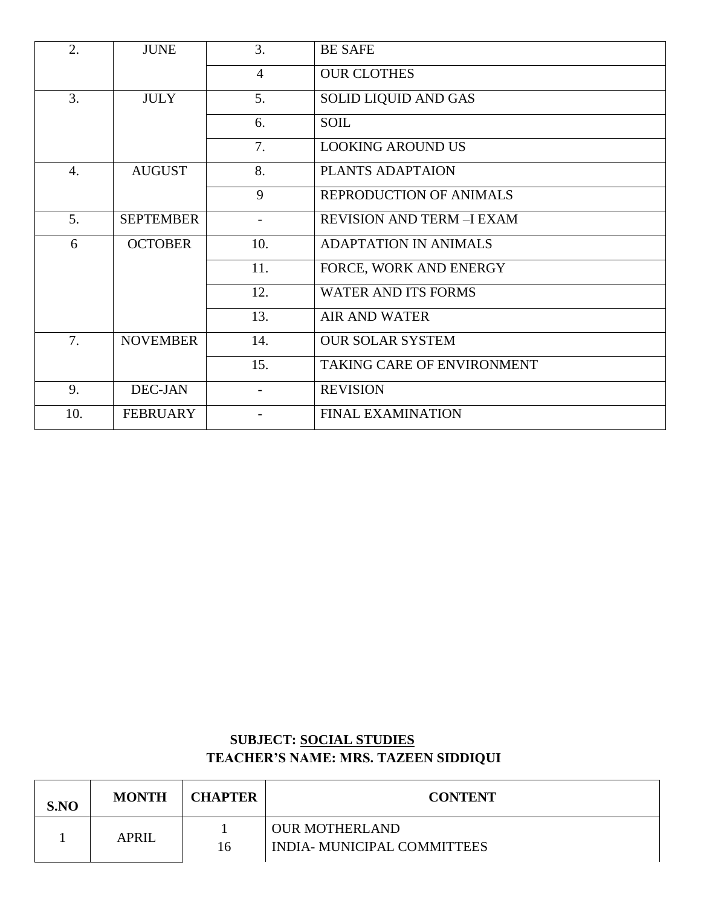| 2.               | <b>JUNE</b>      | 3.                       | <b>BE SAFE</b>                   |
|------------------|------------------|--------------------------|----------------------------------|
|                  |                  | $\overline{4}$           | <b>OUR CLOTHES</b>               |
| 3.               | <b>JULY</b>      | 5.                       | SOLID LIQUID AND GAS             |
|                  |                  | 6.                       | <b>SOIL</b>                      |
|                  |                  | 7.                       | <b>LOOKING AROUND US</b>         |
| $\overline{4}$ . | <b>AUGUST</b>    | 8.                       | PLANTS ADAPTAION                 |
|                  |                  | 9                        | REPRODUCTION OF ANIMALS          |
| 5.               | <b>SEPTEMBER</b> | $\overline{\phantom{a}}$ | <b>REVISION AND TERM -I EXAM</b> |
| 6                | <b>OCTOBER</b>   | 10.                      | <b>ADAPTATION IN ANIMALS</b>     |
|                  |                  | 11.                      | FORCE, WORK AND ENERGY           |
|                  |                  | 12.                      | <b>WATER AND ITS FORMS</b>       |
|                  |                  | 13.                      | <b>AIR AND WATER</b>             |
| 7.               | <b>NOVEMBER</b>  | 14.                      | <b>OUR SOLAR SYSTEM</b>          |
|                  |                  | 15.                      | TAKING CARE OF ENVIRONMENT       |
| 9.               | <b>DEC-JAN</b>   |                          | <b>REVISION</b>                  |
| 10.              | <b>FEBRUARY</b>  |                          | <b>FINAL EXAMINATION</b>         |

### **SUBJECT: SOCIAL STUDIES TEACHER'S NAME: MRS. TAZEEN SIDDIQUI**

| S.NO | <b>MONTH</b> | <b>CHAPTER</b> | <b>CONTENT</b>                                       |
|------|--------------|----------------|------------------------------------------------------|
|      | <b>APRIL</b> | 16             | <b>OUR MOTHERLAND</b><br>INDIA- MUNICIPAL COMMITTEES |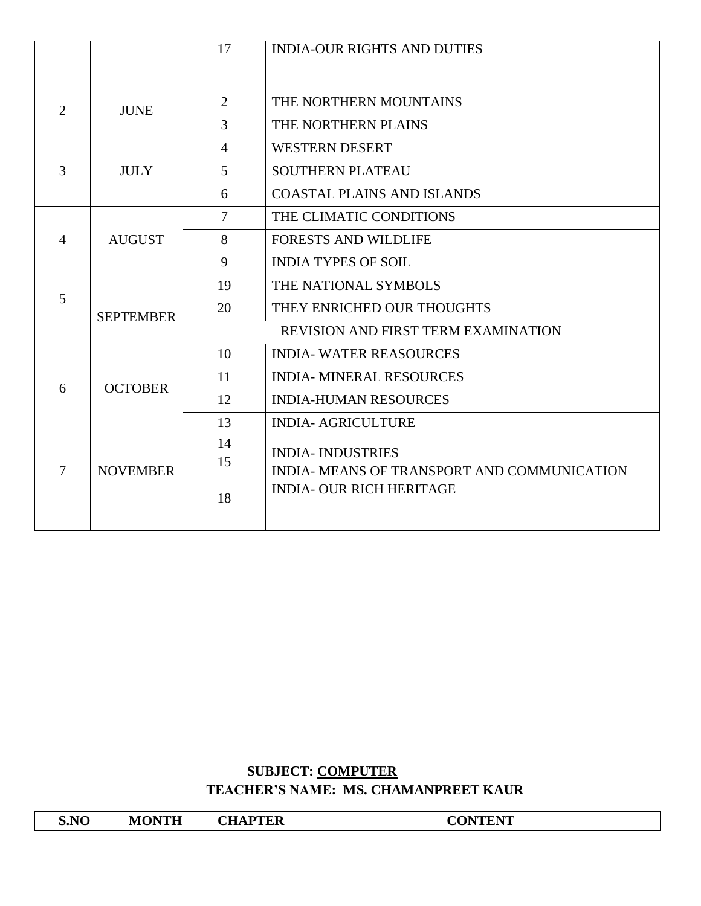|                |                  | 17             | <b>INDIA-OUR RIGHTS AND DUTIES</b>          |
|----------------|------------------|----------------|---------------------------------------------|
|                |                  |                |                                             |
| 2              | <b>JUNE</b>      | 2              | THE NORTHERN MOUNTAINS                      |
|                |                  | 3              | THE NORTHERN PLAINS                         |
|                |                  | $\overline{4}$ | <b>WESTERN DESERT</b>                       |
| 3              | <b>JULY</b>      | $\mathfrak{S}$ | <b>SOUTHERN PLATEAU</b>                     |
|                |                  | 6              | <b>COASTAL PLAINS AND ISLANDS</b>           |
|                |                  | $\tau$         | THE CLIMATIC CONDITIONS                     |
| $\overline{4}$ | <b>AUGUST</b>    | 8              | <b>FORESTS AND WILDLIFE</b>                 |
|                |                  | 9              | <b>INDIA TYPES OF SOIL</b>                  |
|                |                  | 19             | THE NATIONAL SYMBOLS                        |
| 5              | <b>SEPTEMBER</b> | 20             | THEY ENRICHED OUR THOUGHTS                  |
|                |                  |                | REVISION AND FIRST TERM EXAMINATION         |
|                |                  | 10             | <b>INDIA- WATER REASOURCES</b>              |
| 6              | <b>OCTOBER</b>   | 11             | <b>INDIA- MINERAL RESOURCES</b>             |
|                |                  | 12             | <b>INDIA-HUMAN RESOURCES</b>                |
|                |                  | 13             | <b>INDIA- AGRICULTURE</b>                   |
|                |                  | 14             | <b>INDIA- INDUSTRIES</b>                    |
| $\tau$         | <b>NOVEMBER</b>  | 15             | INDIA- MEANS OF TRANSPORT AND COMMUNICATION |
|                |                  | 18             | <b>INDIA- OUR RICH HERITAGE</b>             |

#### **SUBJECT: COMPUTER TEACHER'S NAME: MS. CHAMANPREET KAUR**

| S.NO | <b>MONTH</b> | <b>CHAPTER</b> | <b>CONTENT</b> |
|------|--------------|----------------|----------------|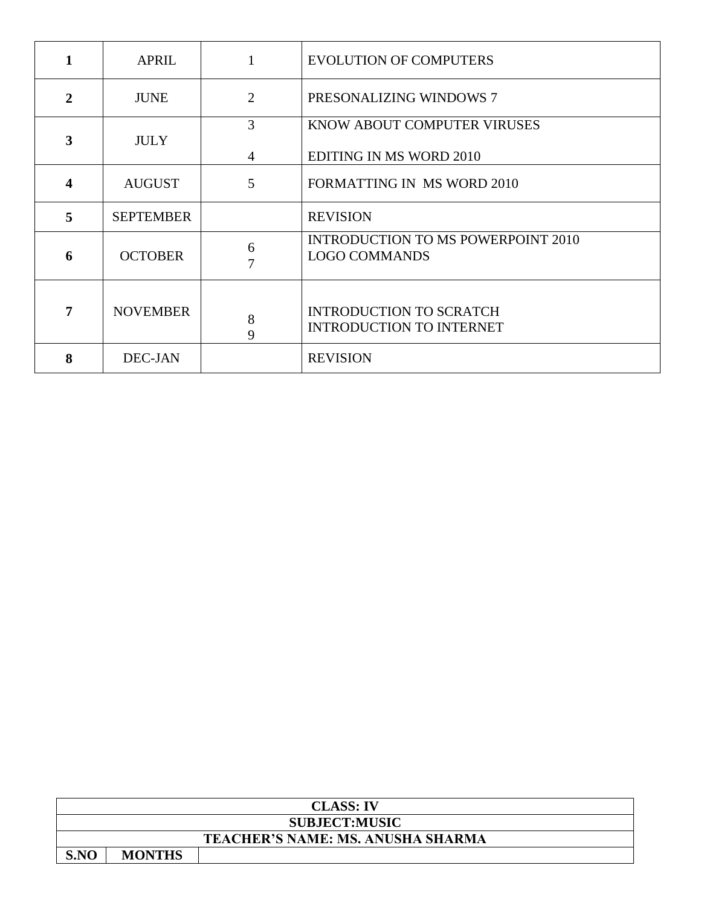| 1                       | <b>APRIL</b>     |                | <b>EVOLUTION OF COMPUTERS</b>                                     |
|-------------------------|------------------|----------------|-------------------------------------------------------------------|
| $\mathbf{2}$            | <b>JUNE</b>      | $\overline{2}$ | PRESONALIZING WINDOWS 7                                           |
| $\overline{\mathbf{3}}$ | <b>JULY</b>      | 3              | KNOW ABOUT COMPUTER VIRUSES                                       |
|                         |                  | 4              | <b>EDITING IN MS WORD 2010</b>                                    |
| 4                       | <b>AUGUST</b>    | 5              | <b>FORMATTING IN MS WORD 2010</b>                                 |
| 5                       | <b>SEPTEMBER</b> |                | <b>REVISION</b>                                                   |
| 6                       | <b>OCTOBER</b>   | 6<br>7         | <b>INTRODUCTION TO MS POWERPOINT 2010</b><br><b>LOGO COMMANDS</b> |
| 7                       | <b>NOVEMBER</b>  | 8<br>9         | <b>INTRODUCTION TO SCRATCH</b><br><b>INTRODUCTION TO INTERNET</b> |
| 8                       | DEC-JAN          |                | <b>REVISION</b>                                                   |

|      | <b>CLASS: IV</b>                         |  |  |  |  |
|------|------------------------------------------|--|--|--|--|
|      | <b>SUBJECT:MUSIC</b>                     |  |  |  |  |
|      | <b>TEACHER'S NAME: MS. ANUSHA SHARMA</b> |  |  |  |  |
| S.NO | <b>MONTHS</b>                            |  |  |  |  |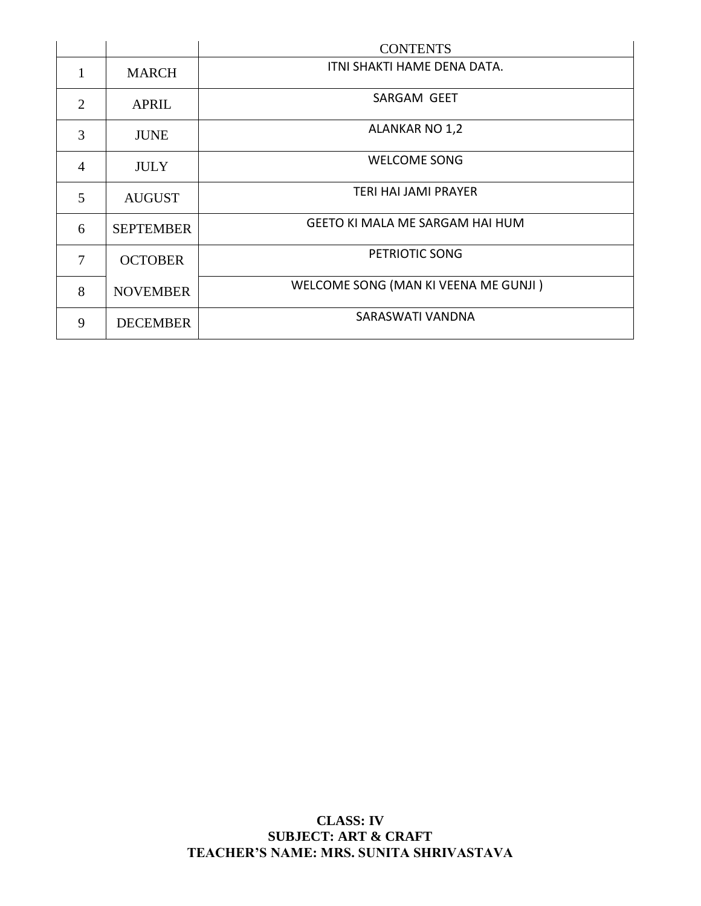|                |                  | <b>CONTENTS</b>                        |
|----------------|------------------|----------------------------------------|
| 1              | <b>MARCH</b>     | ITNI SHAKTI HAME DENA DATA.            |
| $\overline{2}$ | <b>APRIL</b>     | SARGAM GEET                            |
| 3              | <b>JUNE</b>      | ALANKAR NO 1,2                         |
| $\overline{4}$ | <b>JULY</b>      | <b>WELCOME SONG</b>                    |
| 5              | <b>AUGUST</b>    | <b>TERI HAI JAMI PRAYER</b>            |
| 6              | <b>SEPTEMBER</b> | <b>GEETO KI MALA ME SARGAM HAI HUM</b> |
| $\overline{7}$ | <b>OCTOBER</b>   | PETRIOTIC SONG                         |
| 8              | <b>NOVEMBER</b>  | WELCOME SONG (MAN KI VEENA ME GUNJI)   |
| 9              | <b>DECEMBER</b>  | SARASWATI VANDNA                       |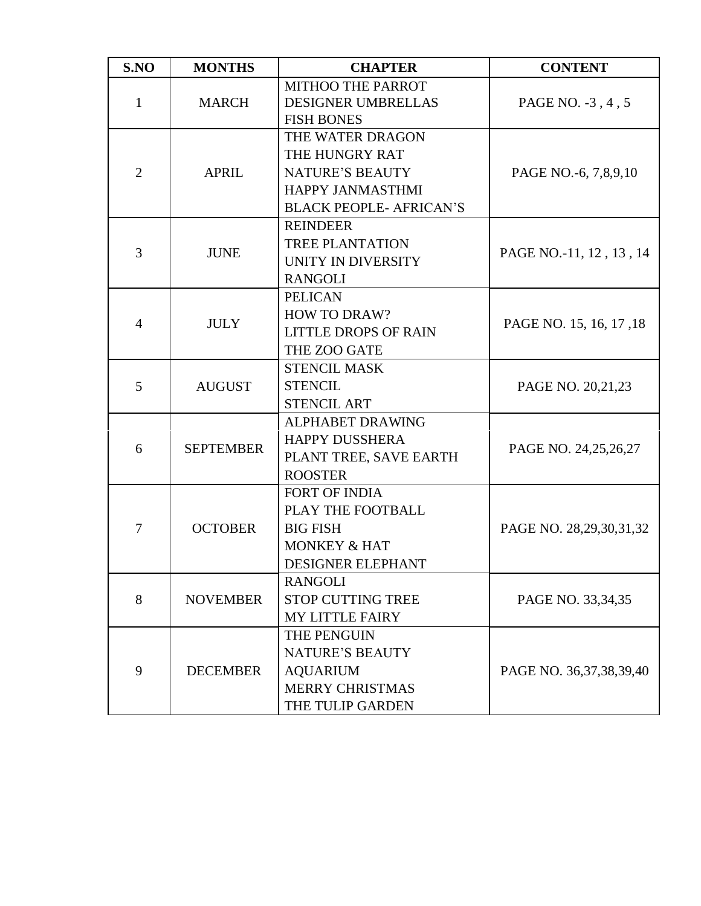| S.NO           | <b>MONTHS</b>    | <b>CHAPTER</b>                                                                                                            | <b>CONTENT</b>          |
|----------------|------------------|---------------------------------------------------------------------------------------------------------------------------|-------------------------|
| $\mathbf{1}$   | <b>MARCH</b>     | MITHOO THE PARROT<br><b>DESIGNER UMBRELLAS</b><br><b>FISH BONES</b>                                                       | PAGE NO. -3, 4, 5       |
| $\overline{2}$ | <b>APRIL</b>     | THE WATER DRAGON<br>THE HUNGRY RAT<br><b>NATURE'S BEAUTY</b><br><b>HAPPY JANMASTHMI</b><br><b>BLACK PEOPLE- AFRICAN'S</b> | PAGE NO.-6, 7,8,9,10    |
| 3              | <b>JUNE</b>      | <b>REINDEER</b><br><b>TREE PLANTATION</b><br>UNITY IN DIVERSITY<br><b>RANGOLI</b>                                         | PAGE NO.-11, 12, 13, 14 |
| $\overline{4}$ | <b>JULY</b>      | <b>PELICAN</b><br><b>HOW TO DRAW?</b><br><b>LITTLE DROPS OF RAIN</b><br>THE ZOO GATE                                      | PAGE NO. 15, 16, 17, 18 |
| 5              | <b>AUGUST</b>    | <b>STENCIL MASK</b><br><b>STENCIL</b><br><b>STENCIL ART</b>                                                               | PAGE NO. 20,21,23       |
| 6              | <b>SEPTEMBER</b> | <b>ALPHABET DRAWING</b><br><b>HAPPY DUSSHERA</b><br>PLANT TREE, SAVE EARTH<br><b>ROOSTER</b>                              | PAGE NO. 24,25,26,27    |
| $\tau$         | <b>OCTOBER</b>   | FORT OF INDIA<br>PLAY THE FOOTBALL<br><b>BIG FISH</b><br><b>MONKEY &amp; HAT</b><br>DESIGNER ELEPHANT                     | PAGE NO. 28,29,30,31,32 |
| 8              | <b>NOVEMBER</b>  | <b>RANGOLI</b><br><b>STOP CUTTING TREE</b><br><b>MY LITTLE FAIRY</b>                                                      | PAGE NO. 33,34,35       |
| 9              | <b>DECEMBER</b>  | THE PENGUIN<br><b>NATURE'S BEAUTY</b><br><b>AQUARIUM</b><br><b>MERRY CHRISTMAS</b><br>THE TULIP GARDEN                    | PAGE NO. 36,37,38,39,40 |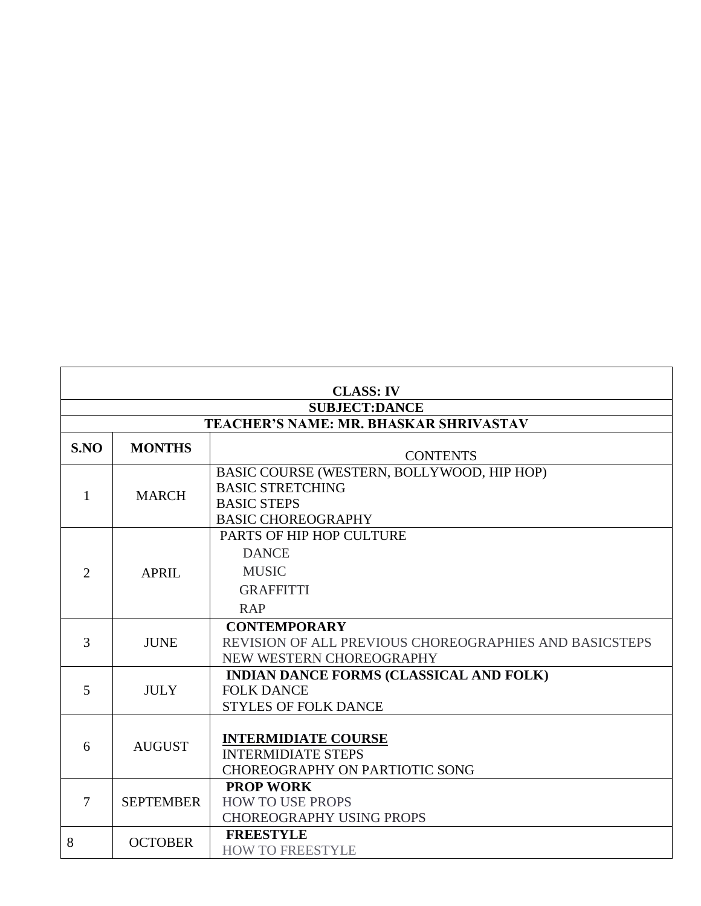| <b>CLASS: IV</b>                       |                  |                                                                                                                          |  |  |  |
|----------------------------------------|------------------|--------------------------------------------------------------------------------------------------------------------------|--|--|--|
| <b>SUBJECT:DANCE</b>                   |                  |                                                                                                                          |  |  |  |
| TEACHER'S NAME: MR. BHASKAR SHRIVASTAV |                  |                                                                                                                          |  |  |  |
| S.NO                                   | <b>MONTHS</b>    | <b>CONTENTS</b>                                                                                                          |  |  |  |
| $\mathbf{1}$                           | <b>MARCH</b>     | BASIC COURSE (WESTERN, BOLLYWOOD, HIP HOP)<br><b>BASIC STRETCHING</b><br><b>BASIC STEPS</b><br><b>BASIC CHOREOGRAPHY</b> |  |  |  |
| $\overline{2}$                         | <b>APRIL</b>     | PARTS OF HIP HOP CULTURE<br><b>DANCE</b><br><b>MUSIC</b><br><b>GRAFFITTI</b><br><b>RAP</b>                               |  |  |  |
| 3                                      | <b>JUNE</b>      | <b>CONTEMPORARY</b><br>REVISION OF ALL PREVIOUS CHOREOGRAPHIES AND BASICSTEPS<br>NEW WESTERN CHOREOGRAPHY                |  |  |  |
| 5                                      | <b>JULY</b>      | <b>INDIAN DANCE FORMS (CLASSICAL AND FOLK)</b><br><b>FOLK DANCE</b><br><b>STYLES OF FOLK DANCE</b>                       |  |  |  |
| 6                                      | <b>AUGUST</b>    | <b>INTERMIDIATE COURSE</b><br><b>INTERMIDIATE STEPS</b><br>CHOREOGRAPHY ON PARTIOTIC SONG                                |  |  |  |
| $\overline{7}$                         | <b>SEPTEMBER</b> | <b>PROP WORK</b><br><b>HOW TO USE PROPS</b><br><b>CHOREOGRAPHY USING PROPS</b>                                           |  |  |  |
| 8                                      | <b>OCTOBER</b>   | <b>FREESTYLE</b><br><b>HOW TO FREESTYLE</b>                                                                              |  |  |  |